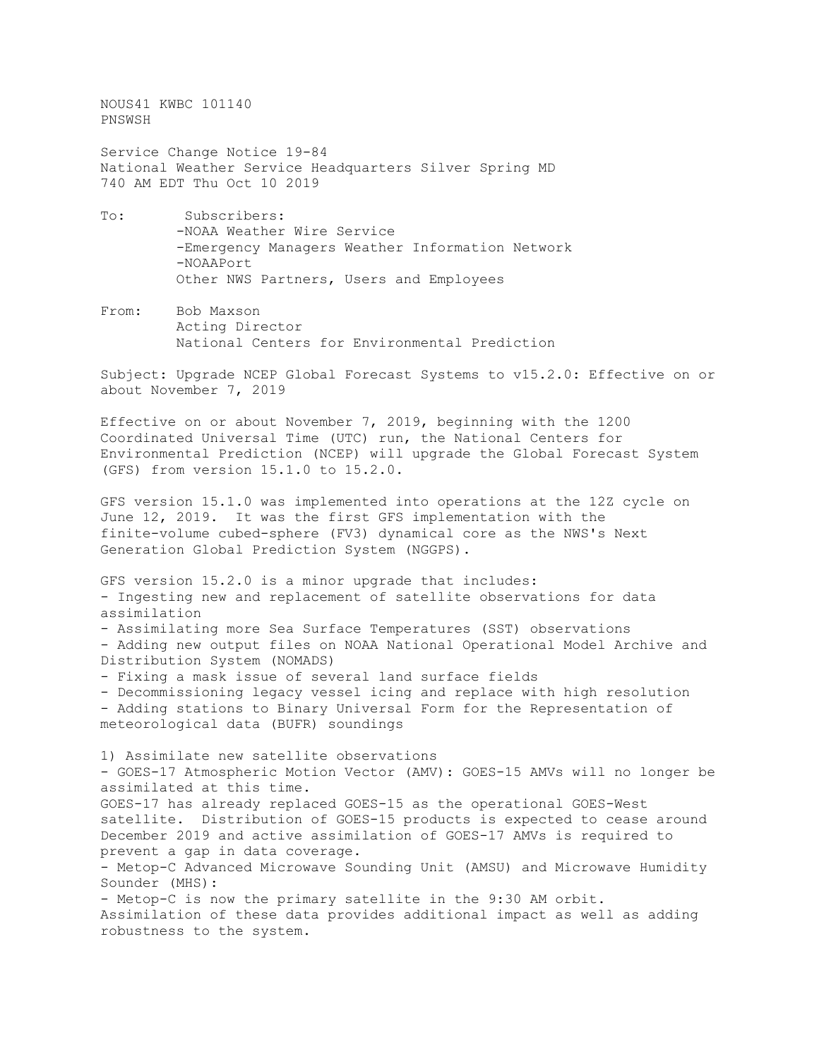NOUS41 KWBC 101140 PNSWSH

Service Change Notice 19-84 National Weather Service Headquarters Silver Spring MD 740 AM EDT Thu Oct 10 2019

- To: Subscribers: -NOAA Weather Wire Service -Emergency Managers Weather Information Network -NOAAPort Other NWS Partners, Users and Employees
- From: Bob Maxson Acting Director National Centers for Environmental Prediction

Subject: Upgrade NCEP Global Forecast Systems to v15.2.0: Effective on or about November 7, 2019

Effective on or about November 7, 2019, beginning with the 1200 Coordinated Universal Time (UTC) run, the National Centers for Environmental Prediction (NCEP) will upgrade the Global Forecast System (GFS) from version 15.1.0 to 15.2.0.

GFS version 15.1.0 was implemented into operations at the 12Z cycle on June 12, 2019. It was the first GFS implementation with the finite-volume cubed-sphere (FV3) dynamical core as the NWS's Next Generation Global Prediction System (NGGPS).

GFS version 15.2.0 is a minor upgrade that includes: - Ingesting new and replacement of satellite observations for data assimilation - Assimilating more Sea Surface Temperatures (SST) observations - Adding new output files on NOAA National Operational Model Archive and Distribution System (NOMADS) - Fixing a mask issue of several land surface fields - Decommissioning legacy vessel icing and replace with high resolution - Adding stations to Binary Universal Form for the Representation of meteorological data (BUFR) soundings 1) Assimilate new satellite observations - GOES-17 Atmospheric Motion Vector (AMV): GOES-15 AMVs will no longer be assimilated at this time. GOES-17 has already replaced GOES-15 as the operational GOES-West satellite. Distribution of GOES-15 products is expected to cease around December 2019 and active assimilation of GOES-17 AMVs is required to prevent a gap in data coverage. - Metop-C Advanced Microwave Sounding Unit (AMSU) and Microwave Humidity Sounder (MHS): - Metop-C is now the primary satellite in the 9:30 AM orbit. Assimilation of these data provides additional impact as well as adding robustness to the system.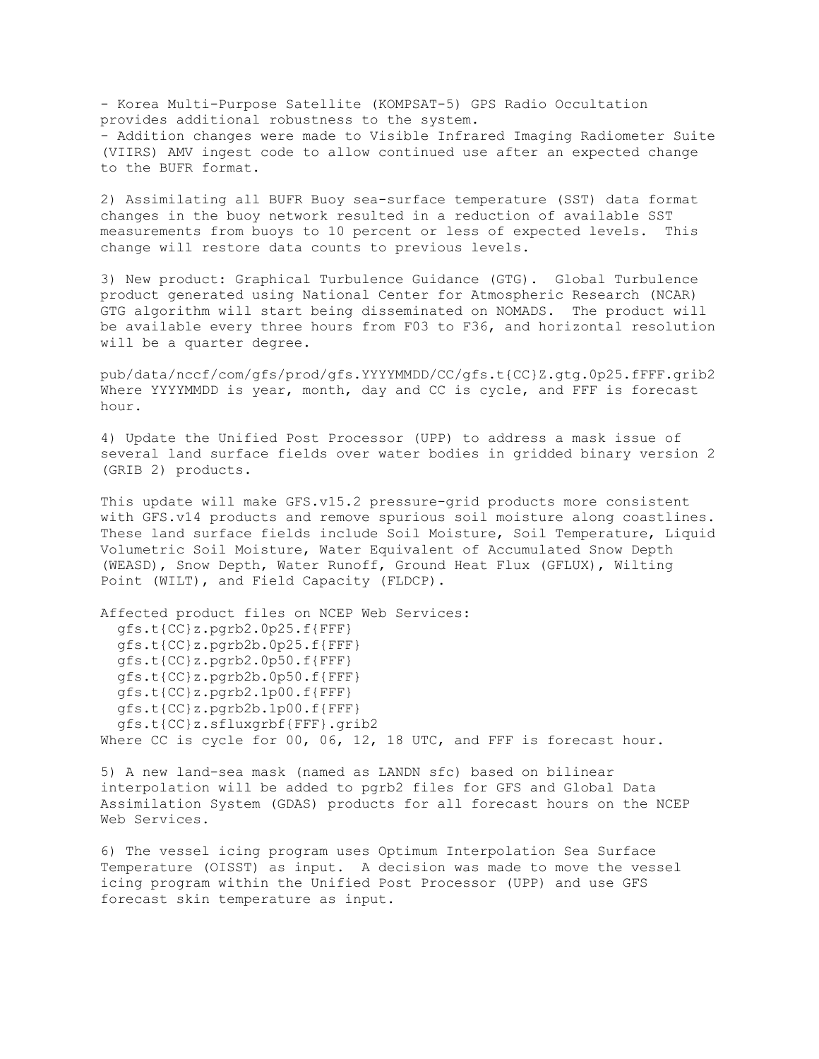- Korea Multi-Purpose Satellite (KOMPSAT-5) GPS Radio Occultation provides additional robustness to the system. - Addition changes were made to Visible Infrared Imaging Radiometer Suite (VIIRS) AMV ingest code to allow continued use after an expected change to the BUFR format.

2) Assimilating all BUFR Buoy sea-surface temperature (SST) data format changes in the buoy network resulted in a reduction of available SST measurements from buoys to 10 percent or less of expected levels. This change will restore data counts to previous levels.

3) New product: Graphical Turbulence Guidance (GTG). Global Turbulence product generated using National Center for Atmospheric Research (NCAR) GTG algorithm will start being disseminated on NOMADS. The product will be available every three hours from F03 to F36, and horizontal resolution will be a quarter degree.

pub/data/nccf/com/gfs/prod/gfs.YYYYMMDD/CC/gfs.t{CC}Z.gtg.0p25.fFFF.grib2 Where YYYYMMDD is year, month, day and CC is cycle, and FFF is forecast hour.

4) Update the Unified Post Processor (UPP) to address a mask issue of several land surface fields over water bodies in gridded binary version 2 (GRIB 2) products.

This update will make GFS.v15.2 pressure-grid products more consistent with GFS.v14 products and remove spurious soil moisture along coastlines. These land surface fields include Soil Moisture, Soil Temperature, Liquid Volumetric Soil Moisture, Water Equivalent of Accumulated Snow Depth (WEASD), Snow Depth, Water Runoff, Ground Heat Flux (GFLUX), Wilting Point (WILT), and Field Capacity (FLDCP).

Affected product files on NCEP Web Services: gfs.t{CC}z.pgrb2.0p25.f{FFF} gfs.t{CC}z.pgrb2b.0p25.f{FFF} gfs.t{CC}z.pgrb2.0p50.f{FFF} gfs.t{CC}z.pgrb2b.0p50.f{FFF} gfs.t{CC}z.pgrb2.1p00.f{FFF} gfs.t{CC}z.pgrb2b.1p00.f{FFF} gfs.t{CC}z.sfluxgrbf{FFF}.grib2 Where CC is cycle for 00, 06, 12, 18 UTC, and FFF is forecast hour.

5) A new land-sea mask (named as LANDN sfc) based on bilinear interpolation will be added to pgrb2 files for GFS and Global Data Assimilation System (GDAS) products for all forecast hours on the NCEP Web Services.

6) The vessel icing program uses Optimum Interpolation Sea Surface Temperature (OISST) as input. A decision was made to move the vessel icing program within the Unified Post Processor (UPP) and use GFS forecast skin temperature as input.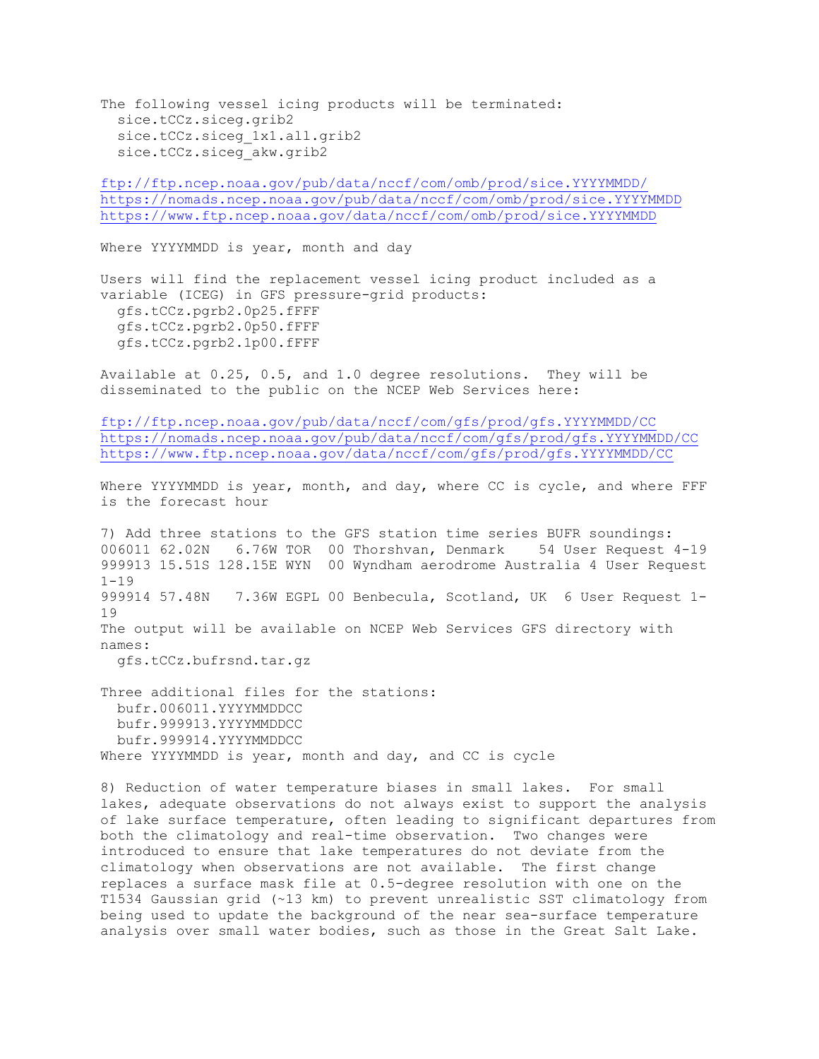The following vessel icing products will be terminated: sice.tCCz.siceg.grib2 sice.tCCz.siceg\_1x1.all.grib2 sice.tCCz.siceg\_akw.grib2

<ftp://ftp.ncep.noaa.gov/pub/data/nccf/com/omb/prod/sice.YYYYMMDD/> <https://nomads.ncep.noaa.gov/pub/data/nccf/com/omb/prod/sice.YYYYMMDD> <https://www.ftp.ncep.noaa.gov/data/nccf/com/omb/prod/sice.YYYYMMDD>

Where YYYYMMDD is year, month and day

Users will find the replacement vessel icing product included as a variable (ICEG) in GFS pressure-grid products: gfs.tCCz.pgrb2.0p25.fFFF gfs.tCCz.pgrb2.0p50.fFFF gfs.tCCz.pgrb2.1p00.fFFF

Available at 0.25, 0.5, and 1.0 degree resolutions. They will be disseminated to the public on the NCEP Web Services here:

<ftp://ftp.ncep.noaa.gov/pub/data/nccf/com/gfs/prod/gfs.YYYYMMDD/CC> <https://nomads.ncep.noaa.gov/pub/data/nccf/com/gfs/prod/gfs.YYYYMMDD/CC> <https://www.ftp.ncep.noaa.gov/data/nccf/com/gfs/prod/gfs.YYYYMMDD/CC>

Where YYYYMMDD is year, month, and day, where CC is cycle, and where FFF is the forecast hour

7) Add three stations to the GFS station time series BUFR soundings: 006011 62.02N 6.76W TOR 00 Thorshvan, Denmark 54 User Request 4-19 999913 15.51S 128.15E WYN 00 Wyndham aerodrome Australia 4 User Request  $1 - 19$ 999914 57.48N 7.36W EGPL 00 Benbecula, Scotland, UK 6 User Request 1- 19 The output will be available on NCEP Web Services GFS directory with names:

gfs.tCCz.bufrsnd.tar.gz

Three additional files for the stations: bufr.006011.YYYYMMDDCC bufr.999913.YYYYMMDDCC bufr.999914.YYYYMMDDCC Where YYYYMMDD is year, month and day, and CC is cycle

8) Reduction of water temperature biases in small lakes. For small lakes, adequate observations do not always exist to support the analysis of lake surface temperature, often leading to significant departures from both the climatology and real-time observation. Two changes were introduced to ensure that lake temperatures do not deviate from the climatology when observations are not available. The first change replaces a surface mask file at 0.5-degree resolution with one on the T1534 Gaussian grid (~13 km) to prevent unrealistic SST climatology from being used to update the background of the near sea-surface temperature analysis over small water bodies, such as those in the Great Salt Lake.